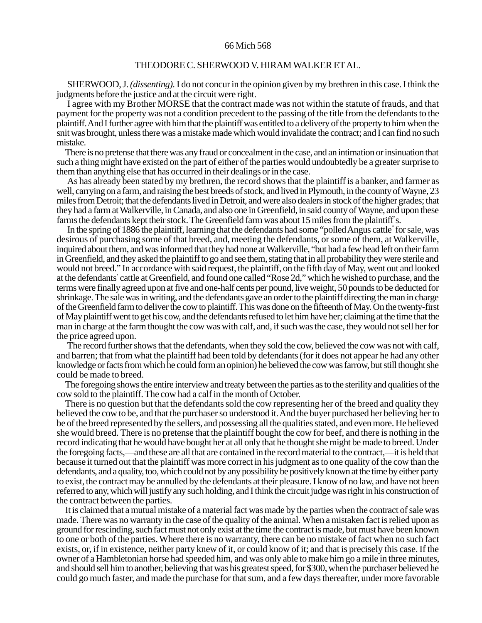## 66 Mich 568

## THEODORE C. SHERWOOD V. HIRAM WALKER ET AL.

SHERWOOD, J. *(dissenting).* I do not concur in the opinion given by my brethren in this case. I think the judgments before the justice and at the circuit were right.

I agree with my Brother MORSE that the contract made was not within the statute of frauds, and that payment for the property was not a condition precedent to the passing of the title from the defendants to the plaintiff. And I further agree with him that the plaintiff was entitled to a delivery of the property to him when the snit was brought, unless there was a mistake made which would invalidate the contract; and I can find no such mistake.

There is no pretense that there was any fraud or concealment in the case, and an intimation or insinuation that such a thing might have existed on the part of either of the parties would undoubtedly be a greater surprise to them than anything else that has occurred in their dealings or in the case.

As has already been stated by my brethren, the record shows that the plaintiff is a banker, and farmer as well, carrying on a farm, and raising the best breeds of stock, and lived in Plymouth, in the county of Wayne, 23 miles from Detroit; that the defendants lived in Detroit, and were also dealers in stock of the higher grades; that they had a farm at Walkerville, in Canada, and also one in Greenfield, in said county of Wayne, and upon these farms the defendants kept their stock. The Greenfield farm was about 15 miles from the plaintiff' s.

In the spring of 1886 the plaintiff, learning that the defendants had some "polled Angus cattle" for sale, was desirous of purchasing some of that breed, and, meeting the defendants, or some of them, at Walkerville, inquired about them, and was informed that they had none at Walkerville, "but had a few head left on their farm in Greenfield, and they asked the plaintiff to go and see them, stating that in all probability they were sterile and would not breed." In accordance with said request, the plaintiff, on the fifth day of May, went out and looked at the defendants' cattle at Greenfield, and found one called "Rose 2d," which he wished to purchase, and the terms were finally agreed upon at five and one-half cents per pound, live weight, 50 pounds to be deducted for shrinkage. The sale was in writing, and the defendants gave an order to the plaintiff directing the man in charge of the Greenfield farm to deliver the cow to plaintiff. This was done on the fifteenth of May. On the twenty-first of May plaintiff went to get his cow, and the defendants refused to let him have her; claiming at the time that the man in charge at the farm thought the cow was with calf, and, if such was the case, they would not sell her for the price agreed upon.

The record further shows that the defendants, when they sold the cow, believed the cow was not with calf, and barren; that from what the plaintiff had been told by defendants (for it does not appear he had any other knowledge or facts from which he could form an opinion) he believed the cow was farrow, but still thought she could be made to breed.

The foregoing shows the entire interview and treaty between the parties as to the sterility and qualities of the cow sold to the plaintiff. The cow had a calf in the month of October.

There is no question but that the defendants sold the cow representing her of the breed and quality they believed the cow to be, and that the purchaser so understood it. And the buyer purchased her believing her to be of the breed represented by the sellers, and possessing all the qualities stated, and even more. He believed she would breed. There is no pretense that the plaintiff bought the cow for beef, and there is nothing in the record indicating that he would have bought her at all only that he thought she might be made to breed. Under the foregoing facts,—and these are all that are contained in the record material to the contract,—it is held that because it turned out that the plaintiff was more correct in his judgment as to one quality of the cow than the defendants, and a quality, too, which could not by any possibility be positively known at the time by either party to exist, the contract may be annulled by the defendants at their pleasure. I know of no law, and have not been referred to any, which will justify any such holding, and I think the circuit judge was right in his construction of the contract between the parties.

It is claimed that a mutual mistake of a material fact was made by the parties when the contract of sale was made. There was no warranty in the case of the quality of the animal. When a mistaken fact is relied upon as ground for rescinding, such fact must not only exist at the time the contract is made, but must have been known to one or both of the parties. Where there is no warranty, there can be no mistake of fact when no such fact exists, or, if in existence, neither party knew of it, or could know of it; and that is precisely this case. If the owner of a Hambletonian horse had speeded him, and was only able to make him go a mile in three minutes, and should sell him to another, believing that was his greatest speed, for \$300, when the purchaser believed he could go much faster, and made the purchase for that sum, and a few days thereafter, under more favorable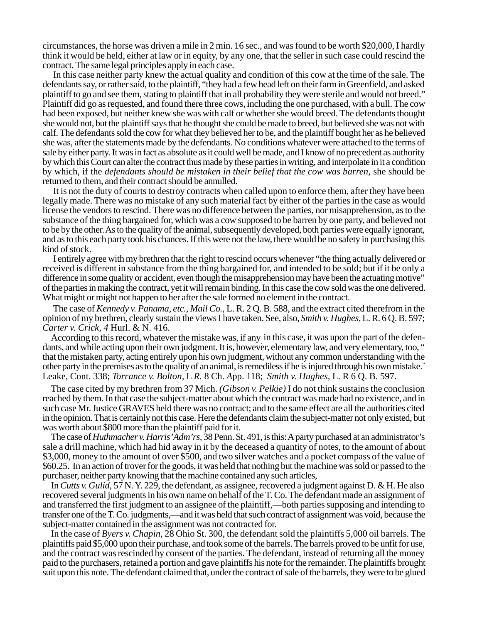circumstances, the horse was driven a mile in 2 min. 16 sec., and was found to be worth \$20,000, I hardly think it would be held, either at law or in equity, by any one, that the seller in such case could rescind the contract. The same legal principles apply in each case.

In this case neither party knew the actual quality and condition of this cow at the time of the sale. The defendants say, or rather said, to the plaintiff, "they had a few head left on their farm in Greenfield, and asked plaintiff to go and see them, stating to plaintiff that in all probability they were sterile and would not breed." Plaintiff did go as requested, and found there three cows, including the one purchased, with a bull. The cow had been exposed, but neither knew she was with calf or whether she would breed. The defendants thought she would not, but the plaintiff says that he thought she could be made to breed, but believed she was not with calf. The defendants sold the cow for what they believed her to be, and the plaintiff bought her as he believed she was, after the statements made by the defendants. No conditions whatever were attached to the terms of sale by either party. It was in fact as absolute as it could well be made, and I know of no precedent as authority by which this Court can alter the contract thus made by these parties in writing, and interpolate in it a condition by which, if the *defendants should be mistaken in their belief that the cow was barren,* she should be returned to them, and their contract should be annulled.

It is not the duty of courts to destroy contracts when called upon to enforce them, after they have been legally made. There was no mistake of any such material fact by either of the parties in the case as would license the vendors to rescind. There was no difference between the parties, nor misapprehension, as to the substance of the thing bargained for, which was a cow supposed to be barren by one party, and believed not to be by the other. As to the quality of the animal, subsequently developed, both parties were equally ignorant, and as to this each party took his chances. If this were not the law, there would be no safety in purchasing this kind of stock.

I entirely agree with my brethren that the right to rescind occurs whenever "the thing actually delivered or received is different in substance from the thing bargained for, and intended to be sold; but if it be only a difference in some quality or accident, even though the misapprehension may have been the actuating motive" of the parties in making the contract, yet it will remain binding. In this case the cow sold was the one delivered. What might or might not happen to her after the sale formed no element in the contract.

The case of *Kennedy v. Panama, etc., Mail Co.,* L. R. 2 Q. B. 588, and the extract cited therefrom in the opinion of my brethren, clearly sustain the views I have taken. See, also, *Smith v. Hughes,* L. R. 6 Q. B. 597; *Carter v. Crick, 4* Hurl. & N. 416.

According to this record, whatever the mistake was, if any, in this case, it was upon the part of the defendants, and while acting upon their own judgment. It is, however, elementary law, and very elementary, too, " that the mistaken party, acting entirely upon his own judgment, without any common understanding with the other party in the premises as to the quality of an animal, is remediless if he is injured through his own mistake." Leake, Cont. 338; *Torrance v. Bolton,* L *R.* 8 Ch. *A*pp. 118; *Smith v. Hughes,* L. R 6 Q. B. 597.

The case cited by my brethren from 37 Mich. *(Gibson v. Pelkie)* I do not think sustains the conclusion reached by them. In that case the subject-matter about which the contract was made had no existence, and in such case Mr. Justice GRAVES held there was no contract; and to the same effect are all the authorities cited in the opinion. That is certainly not this case. Here the defendants claim the subject-matter not only existed, but was worth about \$800 more than the plaintiff paid for it.

The case of *Huthmacher v. Harris' Adm'rs,* 38 Penn. St. 491, is this: A party purchased at an administrator's sale a drill machine, which had hid away in it by the deceased a quantity of notes, to the amount of about \$3,000, money to the amount of over \$500, and two silver watches and a pocket compass of the value of \$60.25. In an action of trover for the goods, it was held that nothing but the machine was sold or passed to the purchaser, neither party knowing that the machine contained any such articles,

In *Cutts v. Gulid,* 57 N. Y. 229, the defendant, as assignee, recovered a judgment against D. & H. He also recovered several judgments in his own name on behalf of the T. Co. The defendant made an assignment of and transferred the first judgment to an assignee of the plaintiff,—both parties supposing and intending to transfer one of the T. Co. judgments,—and it was held that such contract of assignment was void, because the subject-matter contained in the assignment was not contracted for.

In the case of *Byers v. Chapin,* 28 Ohio St. 300, the defendant sold the plaintiffs 5,000 oil barrels. The plaintiffs paid \$5,000 upon their purchase, and took some of the barrels. The barrels proved to be unfit for use, and the contract was rescinded by consent of the parties. The defendant, instead of returning all the money paid to the purchasers, retained a portion and gave plaintiffs his note for the remainder. The plaintiffs brought suit upon this note. The defendant claimed that, under the contract of sale of the barrels, they were to be glued